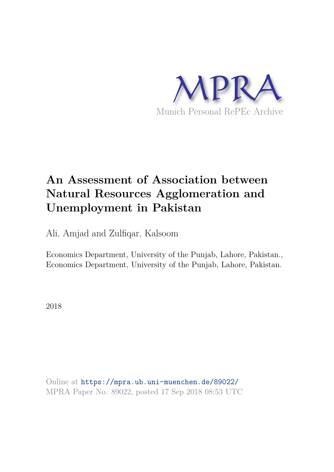

# **An Assessment of Association between Natural Resources Agglomeration and Unemployment in Pakistan**

Ali, Amjad and Zulfiqar, Kalsoom

Economics Department, University of the Punjab, Lahore, Pakistan., Economics Department, University of the Punjab, Lahore, Pakistan.

2018

Online at https://mpra.ub.uni-muenchen.de/89022/ MPRA Paper No. 89022, posted 17 Sep 2018 08:53 UTC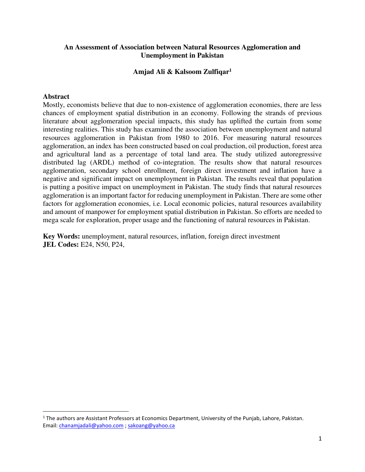# **An Assessment of Association between Natural Resources Agglomeration and Unemployment in Pakistan**

# **Amjad Ali & Kalsoom Zulfiqar<sup>1</sup>**

# **Abstract**

l

Mostly, economists believe that due to non-existence of agglomeration economies, there are less chances of employment spatial distribution in an economy. Following the strands of previous literature about agglomeration special impacts, this study has uplifted the curtain from some interesting realities. This study has examined the association between unemployment and natural resources agglomeration in Pakistan from 1980 to 2016. For measuring natural resources agglomeration, an index has been constructed based on coal production, oil production, forest area and agricultural land as a percentage of total land area. The study utilized autoregressive distributed lag (ARDL) method of co-integration. The results show that natural resources agglomeration, secondary school enrollment, foreign direct investment and inflation have a negative and significant impact on unemployment in Pakistan. The results reveal that population is putting a positive impact on unemployment in Pakistan. The study finds that natural resources agglomeration is an important factor for reducing unemployment in Pakistan. There are some other factors for agglomeration economies, i.e. Local economic policies, natural resources availability and amount of manpower for employment spatial distribution in Pakistan. So efforts are needed to mega scale for exploration, proper usage and the functioning of natural resources in Pakistan.

**Key Words:** unemployment, natural resources, inflation, foreign direct investment **JEL Codes:** E24, N50, P24,

 $<sup>1</sup>$  The authors are Assistant Professors at Economics Department, University of the Punjab, Lahore, Pakistan.</sup> Email: [chanamjadali@yahoo.com](mailto:chanamjadali@yahoo.com) [; sakoang@yahoo.ca](mailto:sakoang@yahoo.ca)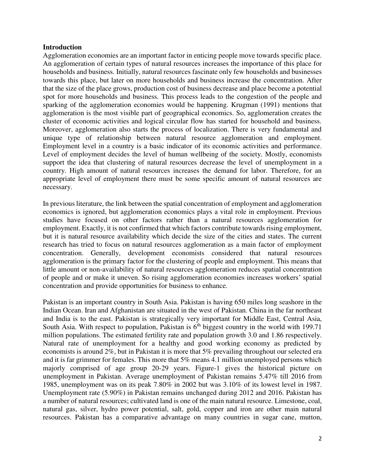#### **Introduction**

Agglomeration economies are an important factor in enticing people move towards specific place. An agglomeration of certain types of natural resources increases the importance of this place for households and business. Initially, natural resources fascinate only few households and businesses towards this place, but later on more households and business increase the concentration. After that the size of the place grows, production cost of business decrease and place become a potential spot for more households and business. This process leads to the congestion of the people and sparking of the agglomeration economies would be happening. Krugman (1991) mentions that agglomeration is the most visible part of geographical economics. So, agglomeration creates the cluster of economic activities and logical circular flow has started for household and business. Moreover, agglomeration also starts the process of localization. There is very fundamental and unique type of relationship between natural resource agglomeration and employment. Employment level in a country is a basic indicator of its economic activities and performance. Level of employment decides the level of human wellbeing of the society. Mostly, economists support the idea that clustering of natural resources decrease the level of unemployment in a country. High amount of natural resources increases the demand for labor. Therefore, for an appropriate level of employment there must be some specific amount of natural resources are necessary.

In previous literature, the link between the spatial concentration of employment and agglomeration economics is ignored, but agglomeration economics plays a vital role in employment. Previous studies have focused on other factors rather than a natural resources agglomeration for employment. Exactly, it is not confirmed that which factors contribute towards rising employment, but it is natural resource availability which decide the size of the cities and states. The current research has tried to focus on natural resources agglomeration as a main factor of employment concentration. Generally, development economists considered that natural resources agglomeration is the primary factor for the clustering of people and employment. This means that little amount or non-availability of natural resources agglomeration reduces spatial concentration of people and or make it uneven. So rising agglomeration economies increases workers' spatial concentration and provide opportunities for business to enhance.

Pakistan is an important country in South Asia. Pakistan is having 650 miles long seashore in the Indian Ocean. Iran and Afghanistan are situated in the west of Pakistan. China in the far northeast and India is to the east. Pakistan is strategically very important for Middle East, Central Asia, South Asia. With respect to population, Pakistan is  $6<sup>th</sup>$  biggest country in the world with 199.71 million populations. The estimated fertility rate and population growth 3.0 and 1.86 respectively. Natural rate of unemployment for a healthy and good working economy as predicted by economists is around 2%, but in Pakistan it is more that 5% prevailing throughout our selected era and it is far grimmer for females. This more that 5% means 4.1 million unemployed persons which majorly comprised of age group 20-29 years. Figure-1 gives the historical picture on unemployment in Pakistan. Average unemployment of Pakistan remains 5.47% till 2016 from 1985, unemployment was on its peak 7.80% in 2002 but was 3.10% of its lowest level in 1987. Unemployment rate (5.90%) in Pakistan remains unchanged during 2012 and 2016. Pakistan has a number of natural resources; cultivated land is one of the main natural resource. Limestone, coal, natural gas, silver, hydro power potential, salt, gold, copper and iron are other main natural resources. Pakistan has a comparative advantage on many countries in sugar cane, mutton,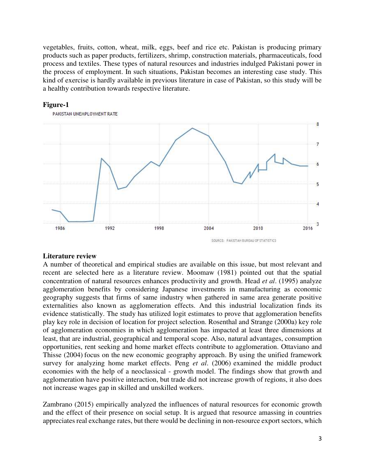vegetables, fruits, cotton, wheat, milk, eggs, beef and rice etc. Pakistan is producing primary products such as paper products, fertilizers, shrimp, construction materials, pharmaceuticals, food process and textiles. These types of natural resources and industries indulged Pakistani power in the process of employment. In such situations, Pakistan becomes an interesting case study. This kind of exercise is hardly available in previous literature in case of Pakistan, so this study will be a healthy contribution towards respective literature.



#### **Figure-1**

#### **Literature review**

A number of theoretical and empirical studies are available on this issue, but most relevant and recent are selected here as a literature review. Moomaw (1981) pointed out that the spatial concentration of natural resources enhances productivity and growth. Head *et al*. (1995[\) analyze](http://www.sciencedirect.com/science/article/pii/002219969401351R)  [agglomeration benefits by considering Japanese investments in manufacturing as economic](http://www.sciencedirect.com/science/article/pii/002219969401351R)  [geography suggests that firms of same industry when gathered in same area generate positive](http://www.sciencedirect.com/science/article/pii/002219969401351R)  [externalities also known as agglomeration effects. And this industrial localization finds its](http://www.sciencedirect.com/science/article/pii/002219969401351R)  [evidence statistically. The study has utilized logit estimates to prove that agglomeration benefits](http://www.sciencedirect.com/science/article/pii/002219969401351R)  [play key role in decision of location for project selection. R](http://www.sciencedirect.com/science/article/pii/002219969401351R)osenthal and Strange (2000a) key role of agglomeration economies in which agglomeration has impacted at least three dimensions at least, that are industrial, geographical and temporal scope. Also, natural advantages, consumption opportunities, rent seeking and home market effects contribute to agglomeration. Ottaviano and Thisse (2004) focus on the new economic geography approach. By using the unified framework survey for analyzing home market effects. Peng *et al*. (2006) examined the middle product economies with the help of a neoclassical - growth model. The findings show that growth and agglomeration have positive interaction, but trade did not increase growth of regions, it also does not increase wages gap in skilled and unskilled workers.

Zambrano (2015) empirically analyzed the influences of natural resources for economic growth and the effect of their presence on social setup. It is argued that resource amassing in countries appreciates real exchange rates, but there would be declining in non-resource export sectors, which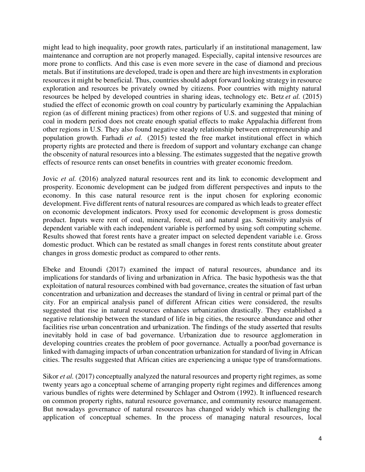might lead to high inequality, poor growth rates, particularly if an institutional management, law maintenance and corruption are not properly managed. Especially, capital intensive resources are more prone to conflicts. And this case is even more severe in the case of diamond and precious metals. But if institutions are developed, trade is open and there are high investments in exploration resources it might be beneficial. Thus, countries should adopt forward looking strategy in resource exploration and resources be privately owned by citizens. Poor countries with mighty natural resources be helped by developed countries in sharing ideas, technology etc[. Betz](http://www.sciencedirect.com/science/article/pii/S0140988315001279) *et al.* (2015) studied the effect of economic growth on coal country by particularly examining the Appalachian region (as of different mining practices) from other regions of U.S. and suggested that mining of coal in modern period does not create enough spatial effects to make Appalachia different from other regions in U.S. They also found negative steady relationship between entrepreneurship and population growth. [Farhadi](http://www.sciencedirect.com/science/article/pii/S0305750X15000479) *et al.* (2015) tested the free market institutional effect in which property rights are protected and there is freedom of support and voluntary exchange can change the obscenity of natural resources into a blessing. The estimates suggested that the negative growth effects of resource rents can onset benefits in countries with greater economic freedom.

Jovic *et al.* (2016) analyzed natural resources rent and its link to economic development and prosperity. Economic development can be judged from different perspectives and inputs to the economy. In this case natural resource rent is the input chosen for exploring economic development. Five different rents of natural resources are compared as which leads to greater effect on economic development indicators. Proxy used for economic development is gross domestic product. Inputs were rent of coal, mineral, forest, oil and natural gas. Sensitivity analysis of dependent variable with each independent variable is performed by using soft computing scheme. Results showed that forest rents have a greater impact on selected dependent variable i.e. Gross domestic product. Which can be restated as small changes in forest rents constitute about greater changes in gross domestic product as compared to other rents.

Ebeke and Etoundi (2017) examined the impact of natural resources, abundance and its implications for standards of living and urbanization in Africa. The basic hypothesis was the that exploitation of natural resources combined with bad governance, creates the situation of fast urban concentration and urbanization and decreases the standard of living in central or primal part of the city. For an empirical analysis panel of different African cities were considered, the results suggested that rise in natural resources enhances urbanization drastically. They established a negative relationship between the standard of life in big cities, the resource abundance and other facilities rise urban concentration and urbanization. The findings of the study asserted that results inevitably hold in case of bad governance. Urbanization due to resource agglomeration in developing countries creates the problem of poor governance. Actually a poor/bad governance is linked with damaging impacts of urban concentration urbanization for standard of living in African cities. The results suggested that African cities are experiencing a unique type of transformations.

Sikor *et al.* (2017) conceptually analyzed the natural resources and property right regimes, as some twenty years ago a conceptual scheme of arranging property right regimes and differences among various bundles of rights were determined by Schlager and Ostrom (1992). It influenced research on common property rights, natural resource governance, and community resource management. But nowadays governance of natural resources has changed widely which is challenging the application of conceptual schemes. In the process of managing natural resources, local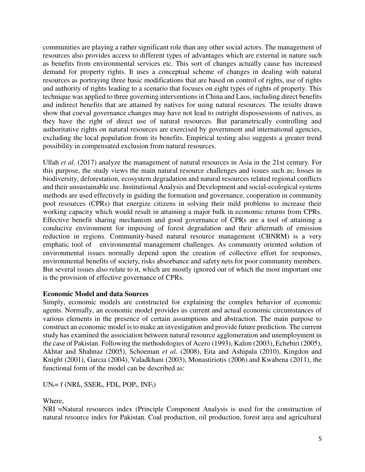communities are playing a rather significant role than any other social actors. The management of resources also provides access to different types of advantages which are external in nature such as benefits from environmental services etc. This sort of changes actually cause has increased demand for property rights. It uses a conceptual scheme of changes in dealing with natural resources as portraying three basic modifications that are based on control of rights, use of rights and authority of rights leading to a scenario that focuses on eight types of rights of property. This technique was applied to three governing interventions in China and Laos, including direct benefits and indirect benefits that are attained by natives for using natural resources. The results drawn show that coeval governance changes may have not lead to outright dispossessions of natives, as they have the right of direct use of natural resources. But parametrically controlling and authoritative rights on natural resources are exercised by government and international agencies, excluding the local population from its benefits. Empirical testing also suggests a greater trend possibility in compensated exclusion from natural resources.

Ullah *et al.* (2017) analyze the management of natural resources in Asia in the 21st century. For this purpose, the study views the main natural resource challenges and issues such as; losses in biodiversity, deforestation, ecosystem degradation and natural resources related regional conflicts and their unsustainable use. Institutional Analysis and Development and social-ecological systems methods are used effectively in guiding the formation and governance, cooperation in community pool resources (CPRs) that energize citizens in solving their mild problems to increase their working capacity which would result in attaining a major bulk in economic returns from CPRs. Effective benefit sharing mechanism and good governance of CPRs are a tool of attaining a conducive environment for imposing of forest degradation and their aftermath of emission reduction in regions. Community-based natural resource management (CBNRM) is a very emphatic tool of environmental management challenges. As community oriented solution of environmental issues normally depend upon the creation of collective effort for responses, environmental benefits of society, risks absorbance and safety nets for poor community members. But several issues also relate to it, which are mostly ignored out of which the most important one is the provision of effective governance of CPRs.

## **Economic Model and data Sources**

Simply, economic models are constructed for explaining the complex behavior of economic agents. Normally, an economic model provides us current and actual economic circumstances of various elements in the presence of certain assumptions and abstraction. The main purpose to construct an economic model is to make an investigation and provide future prediction. The current study has examined the association between natural resource agglomeration and unemployment in the case of Pakistan. Following the methodologies of Acero (1993), Kalim (2003), Echebiri (2005), Akhtar and Shahnaz (2005), Schoeman *et al.* (2008), Eita and Ashipala (2010), Kingdon and Knight (2001), Garcia (2004), Valadkhani (2003), Monastiriotis (2006) and Kwabena (2011), the functional form of the model can be described as:

 $UN_t = f(NRI_t, SSER_t, FDI_t, POP_t, INF_t)$ 

Where,

NRI =Natural resources index (Principle Component Analysis is used for the construction of natural resource index for Pakistan. Coal production, oil production, forest area and agricultural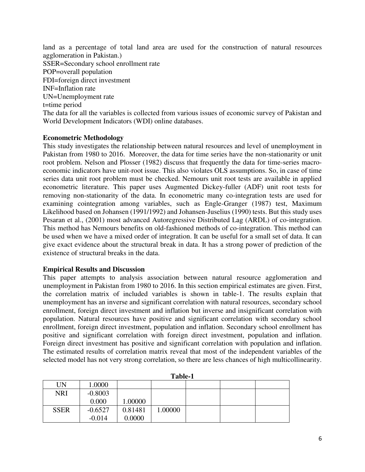land as a percentage of total land area are used for the construction of natural resources agglomeration in Pakistan.) SSER=Secondary school enrollment rate POP=overall population FDI=foreign direct investment INF=Inflation rate UN=Unemployment rate t=time period The data for all the variables is collected from various issues of economic survey of Pakistan and World Development Indicators (WDI) online databases.

## **Econometric Methodology**

This study investigates the relationship between natural resources and level of unemployment in Pakistan from 1980 to 2016. Moreover, the data for time series have the non-stationarity or unit root problem. Nelson and Plosser (1982) discuss that frequently the data for time-series macroeconomic indicators have unit-root issue. This also violates OLS assumptions. So, in case of time series data unit root problem must be checked. Nemours unit root tests are available in applied econometric literature. This paper uses Augmented Dickey-fuller (ADF) unit root tests for removing non-stationarity of the data. In econometric many co-integration tests are used for examining cointegration among variables, such as Engle-Granger (1987) test, Maximum Likelihood based on Johansen (1991/1992) and Johansen-Juselius (1990) tests. But this study uses Pesaran et al., (2001) most advanced Autoregressive Distributed Lag (ARDL) of co-integration. This method has Nemours benefits on old-fashioned methods of co-integration. This method can be used when we have a mixed order of integration. It can be useful for a small set of data. It can give exact evidence about the structural break in data. It has a strong power of prediction of the existence of structural breaks in the data.

## **Empirical Results and Discussion**

This paper attempts to analysis association between natural resource agglomeration and unemployment in Pakistan from 1980 to 2016. In this section empirical estimates are given. First, the correlation matrix of included variables is shown in table-1. The results explain that unemployment has an inverse and significant correlation with natural resources, secondary school enrollment, foreign direct investment and inflation but inverse and insignificant correlation with population. Natural resources have positive and significant correlation with secondary school enrollment, foreign direct investment, population and inflation. Secondary school enrollment has positive and significant correlation with foreign direct investment, population and inflation. Foreign direct investment has positive and significant correlation with population and inflation. The estimated results of correlation matrix reveal that most of the independent variables of the selected model has not very strong correlation, so there are less chances of high multicollinearity.

|             |           |         | 1 UNIV 1 |  |  |
|-------------|-----------|---------|----------|--|--|
| UN          | 1.0000    |         |          |  |  |
| <b>NRI</b>  | $-0.8003$ |         |          |  |  |
|             | 0.000     | .00000  |          |  |  |
| <b>SSER</b> | $-0.6527$ | 0.81481 | 1.00000  |  |  |
|             | $-0.014$  | 0.0000  |          |  |  |

| П<br>. . |  |
|----------|--|
|          |  |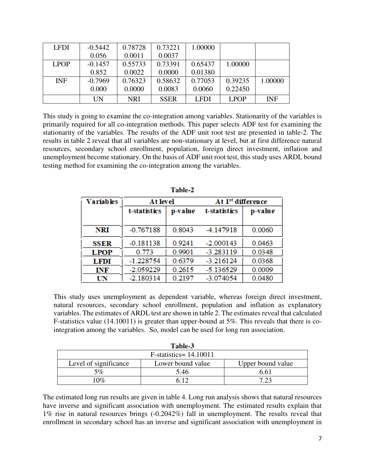| <b>LFDI</b> | $-0.5442$ | 0.78728    | 0.73221     | 1.00000     |             |            |
|-------------|-----------|------------|-------------|-------------|-------------|------------|
|             | 0.056     | 0.0011     | 0.0037      |             |             |            |
| <b>LPOP</b> | $-0.1457$ | 0.55733    | 0.73391     | 0.65437     | 1.00000     |            |
|             | 0.852     | 0.0022     | 0.0000      | 0.01380     |             |            |
| <b>INF</b>  | $-0.7969$ | 0.76323    | 0.58632     | 0.77053     | 0.39235     | 1.00000    |
|             | 0.000     | 0.0000     | 0.0083      | 0.0060      | 0.22450     |            |
|             | UN        | <b>NRI</b> | <b>SSER</b> | <b>LFDI</b> | <b>LPOP</b> | <b>INF</b> |

This study is going to examine the co-integration among variables. Stationarity of the variables is primarily required for all co-integration methods. This paper selects ADF test for examining the stationarity of the variables. The results of the ADF unit root test are presented in table-2. The results in table 2 reveal that all variables are non-stationary at level, but at first difference natural resources, secondary school enrollment, population, foreign direct investment, inflation and unemployment become stationary. On the basis of ADF unit root test, this study uses ARDL bound testing method for examining the co-integration among the variables.

| <b>Variables</b> | At level                |        | At 1 <sup>st</sup> difference |         |
|------------------|-------------------------|--------|-------------------------------|---------|
|                  | t-statistics<br>p-value |        | t-statistics                  | p-value |
| NRI              | $-0.767188$             | 0.8043 | -4.147918                     | 0.0060  |
| <b>SSER</b>      | $-0.181138$             | 0.9241 | $-2.000143$                   | 0.0463  |
| <b>LPOP</b>      | 0.773                   | 0.9901 | $-3.283119$                   | 0.0348  |
| LFDI             | $-1.228754$             | 0.6379 | $-3.216124$                   | 0.0368  |
| INF              | $-2.059229$             | 0.2615 | $-5.136529$                   | 0.0009  |
| UN               | $-2.180314$             | 0.2197 | $-3.074054$                   | 0.0480  |

| anı<br>I٢ |
|-----------|
|-----------|

This study uses unemployment as dependent variable, whereas foreign direct investment, natural resources, secondary school enrollment, population and inflation as explanatory variables. The estimates of ARDL test are shown in table 2. The estimates reveal that calculated F-statistics value (14.10011) is greater than upper-bound at 5%. This reveals that there is cointegration among the variables. So, model can be used for long run association.

| Table-3                                                         |      |      |  |  |  |
|-----------------------------------------------------------------|------|------|--|--|--|
| $F-statistics = 14.10011$                                       |      |      |  |  |  |
| Level of significance<br>Lower bound value<br>Upper bound value |      |      |  |  |  |
| $5\%$                                                           | 5.46 | 6.61 |  |  |  |
| $0\%$                                                           |      | 7 73 |  |  |  |

The estimated long run results are given in table 4. Long run analysis shows that natural resources have inverse and significant association with unemployment. The estimated results explain that 1% rise in natural resources brings (-0.2042%) fall in unemployment. The results reveal that enrollment in secondary school has an inverse and significant association with unemployment in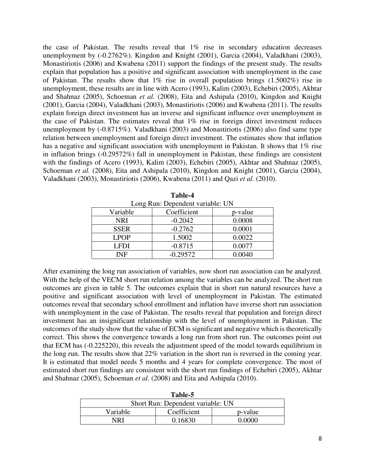the case of Pakistan. The results reveal that  $1\%$  rise in secondary education decreases unemployment by (-0.2762%). Kingdon and Knight (2001), Garcia (2004), Valadkhani (2003), Monastiriotis (2006) and Kwabena (2011) support the findings of the present study. The results explain that population has a positive and significant association with unemployment in the case of Pakistan. The results show that  $1\%$  rise in overall population brings  $(1.5002\%)$  rise in unemployment, these results are in line with Acero (1993), Kalim (2003), Echebiri (2005), Akhtar and Shahnaz (2005), Schoeman *et al.* (2008), Eita and Ashipala (2010), Kingdon and Knight (2001), Garcia (2004), Valadkhani (2003), Monastiriotis (2006) and Kwabena (2011). The results explain foreign direct investment has an inverse and significant influence over unemployment in the case of Pakistan. The estimates reveal that 1% rise in foreign direct investment reduces unemployment by (-0.8715%). Valadkhani (2003) and Monastiriotis (2006) also find same type relation between unemployment and foreign direct investment. The estimates show that inflation has a negative and significant association with unemployment in Pakistan. It shows that 1% rise in inflation brings (-0.29572%) fall in unemployment in Pakistan, these findings are consistent with the findings of Acero (1993), Kalim (2003), Echebiri (2005), Akhtar and Shahnaz (2005), Schoeman *et al.* (2008), Eita and Ashipala (2010), Kingdon and Knight (2001), Garcia (2004), Valadkhani (2003), Monastiriotis (2006), Kwabena (2011) and Qazi *et al.* (2010).

| Long Run: Dependent variable: UN |             |         |  |  |
|----------------------------------|-------------|---------|--|--|
| Variable                         | Coefficient | p-value |  |  |
| <b>NRI</b>                       | $-0.2042$   | 0.0008  |  |  |
| <b>SSER</b>                      | $-0.2762$   | 0.0001  |  |  |
| <b>LPOP</b>                      | 1.5002      | 0.0022  |  |  |
| LFDI                             | $-0.8715$   | 0.0077  |  |  |
| INF                              | $-0.29572$  | 0.0040  |  |  |

| Table-4                           |  |  |  |
|-----------------------------------|--|--|--|
| Long Run: Dependent variable: Ill |  |  |  |

After examining the long run association of variables, now short run association can be analyzed. With the help of the VECM short run relation among the variables can be analyzed. The short run outcomes are given in table 5. The outcomes explain that in short run natural resources have a positive and significant association with level of unemployment in Pakistan. The estimated outcomes reveal that secondary school enrollment and inflation have inverse short run association with unemployment in the case of Pakistan. The results reveal that population and foreign direct investment has an insignificant relationship with the level of unemployment in Pakistan. The outcomes of the study show that the value of ECM is significant and negative which is theoretically correct. This shows the convergence towards a long run from short run. The outcomes point out that ECM has (-0.225220), this reveals the adjustment speed of the model towards equilibrium in the long run. The results show that 22% variation in the short run is reversed in the coming year. It is estimated that model needs 5 months and 4 years for complete convergence. The most of estimated short run findings are consistent with the short run findings of Echebiri (2005), Akhtar and Shahnaz (2005), Schoeman *et al.* (2008) and Eita and Ashipala (2010).

| Table-5                            |         |        |  |  |
|------------------------------------|---------|--------|--|--|
| Short Run: Dependent variable: UN  |         |        |  |  |
| Coefficient<br>Variable<br>p-value |         |        |  |  |
| NR I                               | 0.16830 | 0.0000 |  |  |

**Table-5 Table-1**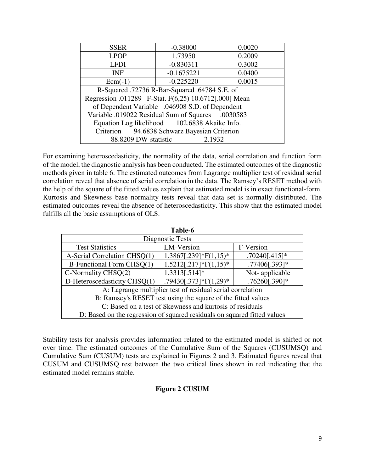| <b>SSER</b>                                           | $-0.38000$   | 0.0020 |  |  |  |
|-------------------------------------------------------|--------------|--------|--|--|--|
| <b>LPOP</b>                                           | 1.73950      | 0.2009 |  |  |  |
| <b>LFDI</b>                                           | $-0.830311$  | 0.3002 |  |  |  |
| <b>INF</b>                                            | $-0.1675221$ | 0.0400 |  |  |  |
| $Ecm(-1)$                                             | $-0.225220$  | 0.0015 |  |  |  |
| R-Squared .72736 R-Bar-Squared .64784 S.E. of         |              |        |  |  |  |
| Regression .011289 F-Stat. F(6,25) 10.6712[.000] Mean |              |        |  |  |  |
| of Dependent Variable .046908 S.D. of Dependent       |              |        |  |  |  |
| Variable .019022 Residual Sum of Squares .0030583     |              |        |  |  |  |
| Equation Log likelihood 102.6838 Akaike Info.         |              |        |  |  |  |
| Criterion 94.6838 Schwarz Bayesian Criterion          |              |        |  |  |  |
| 88.8209 DW-statistic<br>2.1932                        |              |        |  |  |  |

For examining heteroscedasticity, the normality of the data, serial correlation and function form of the model, the diagnostic analysis has been conducted. The estimated outcomes of the diagnostic methods given in table 6. The estimated outcomes from Lagrange multiplier test of residual serial correlation reveal that absence of serial correlation in the data. The Ramsey's RESET method with the help of the square of the fitted values explain that estimated model is in exact functional-form. Kurtosis and Skewness base normality tests reveal that data set is normally distributed. The estimated outcomes reveal the absence of heteroscedasticity. This show that the estimated model fulfills all the basic assumptions of OLS.

| 1 apie-6                                                                    |            |           |  |  |
|-----------------------------------------------------------------------------|------------|-----------|--|--|
| Diagnostic Tests                                                            |            |           |  |  |
| <b>Test Statistics</b>                                                      | LM-Version | F-Version |  |  |
| $1.3867$ [.239]*F(1,15)*<br>$.70240[.415]*$<br>A-Serial Correlation CHSQ(1) |            |           |  |  |
| $1.5212[.217]*F(1,15)*$<br>.77406[.393]*<br>B-Functional Form CHSQ(1)       |            |           |  |  |
| 1.3313[.514]*<br>$C\text{-}Normally CHSQ(2)$<br>Not-applicable              |            |           |  |  |
| .79430[.373]*F $(1,29)$ *<br>.76260[.390]*<br>D-Heteroscedasticity CHSQ(1)  |            |           |  |  |
| A: Lagrange multiplier test of residual serial correlation                  |            |           |  |  |
| B: Ramsey's RESET test using the square of the fitted values                |            |           |  |  |
| C: Based on a test of Skewness and kurtosis of residuals                    |            |           |  |  |
| D: Based on the regression of squared residuals on squared fitted values    |            |           |  |  |

**Table-6** 

Stability tests for analysis provides information related to the estimated model is shifted or not over time. The estimated outcomes of the Cumulative Sum of the Squares (CUSUMSQ) and Cumulative Sum (CUSUM) tests are explained in Figures 2 and 3. Estimated figures reveal that CUSUM and CUSUMSQ rest between the two critical lines shown in red indicating that the estimated model remains stable.

# **Figure 2 CUSUM**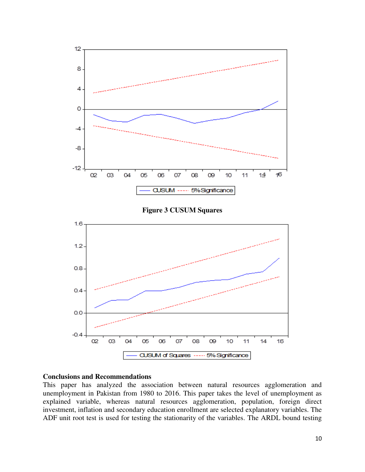

#### **Conclusions and Recommendations**

This paper has analyzed the association between natural resources agglomeration and unemployment in Pakistan from 1980 to 2016. This paper takes the level of unemployment as explained variable, whereas natural resources agglomeration, population, foreign direct investment, inflation and secondary education enrollment are selected explanatory variables. The ADF unit root test is used for testing the stationarity of the variables. The ARDL bound testing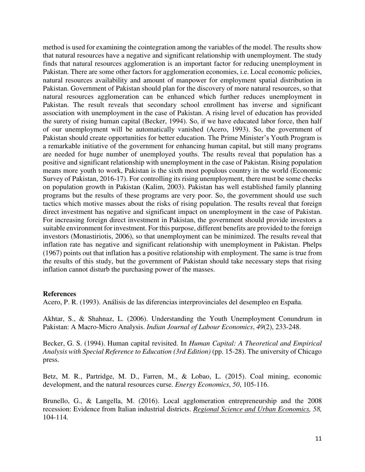method is used for examining the cointegration among the variables of the model. The results show that natural resources have a negative and significant relationship with unemployment. The study finds that natural resources agglomeration is an important factor for reducing unemployment in Pakistan. There are some other factors for agglomeration economies, i.e. Local economic policies, natural resources availability and amount of manpower for employment spatial distribution in Pakistan. Government of Pakistan should plan for the discovery of more natural resources, so that natural resources agglomeration can be enhanced which further reduces unemployment in Pakistan. The result reveals that secondary school enrollment has inverse and significant association with unemployment in the case of Pakistan. A rising level of education has provided the surety of rising human capital (Becker, 1994). So, if we have educated labor force, then half of our unemployment will be automatically vanished (Acero, 1993). So, the government of Pakistan should create opportunities for better education. The Prime Minister's Youth Program is a remarkable initiative of the government for enhancing human capital, but still many programs are needed for huge number of unemployed youths. The results reveal that population has a positive and significant relationship with unemployment in the case of Pakistan. Rising population means more youth to work, Pakistan is the sixth most populous country in the world (Economic Survey of Pakistan, 2016-17). For controlling its rising unemployment, there must be some checks on population growth in Pakistan (Kalim, 2003). Pakistan has well established family planning programs but the results of these programs are very poor. So, the government should use such tactics which motive masses about the risks of rising population. The results reveal that foreign direct investment has negative and significant impact on unemployment in the case of Pakistan. For increasing foreign direct investment in Pakistan, the government should provide investors a suitable environment for investment. For this purpose, different benefits are provided to the foreign investors (Monastiriotis, 2006), so that unemployment can be minimized. The results reveal that inflation rate has negative and significant relationship with unemployment in Pakistan. Phelps (1967) points out that inflation has a positive relationship with employment. The same is true from the results of this study, but the government of Pakistan should take necessary steps that rising inflation cannot disturb the purchasing power of the masses.

#### **References**

Acero, P. R. (1993). Análisis de las diferencias interprovinciales del desempleo en España.

Akhtar, S., & Shahnaz, L. (2006). Understanding the Youth Unemployment Conundrum in Pakistan: A Macro-Micro Analysis. *Indian Journal of Labour Economics*, *49*(2), 233-248.

Becker, G. S. (1994). Human capital revisited. In *Human Capital: A Theoretical and Empirical Analysis with Special Reference to Education (3rd Edition)* (pp. 15-28). The university of Chicago press.

Betz, M. R., Partridge, M. D., Farren, M., & Lobao, L. (2015). Coal mining, economic development, and the natural resources curse. *Energy Economics*, *50*, 105-116.

Brunello, G., & Langella, M. (2016). Local agglomeration entrepreneurship and the 2008 recession: Evidence from Italian industrial districts. *[Regional Science and Urban Economics,](http://www.sciencedirect.com/science/journal/01660462) 58,*  104-114*.*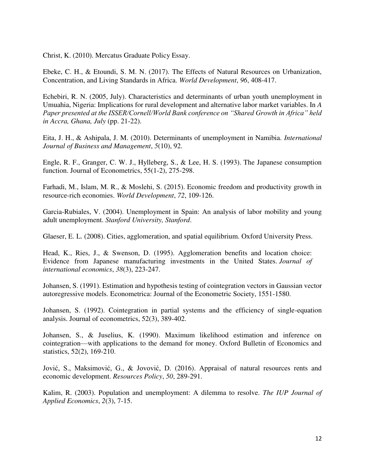Christ, K. (2010). Mercatus Graduate Policy Essay.

Ebeke, C. H., & Etoundi, S. M. N. (2017). The Effects of Natural Resources on Urbanization, Concentration, and Living Standards in Africa. *World Development*, *96*, 408-417.

Echebiri, R. N. (2005, July). Characteristics and determinants of urban youth unemployment in Umuahia, Nigeria: Implications for rural development and alternative labor market variables. In *A Paper presented at the ISSER/Cornell/World Bank conference on "Shared Growth in Africa" held in Accra, Ghana, July* (pp. 21-22).

Eita, J. H., & Ashipala, J. M. (2010). Determinants of unemployment in Namibia. *International Journal of Business and Management*, *5*(10), 92.

Engle, R. F., Granger, C. W. J., Hylleberg, S., & Lee, H. S. (1993). The Japanese consumption function. Journal of Econometrics, 55(1-2), 275-298.

Farhadi, M., Islam, M. R., & Moslehi, S. (2015). Economic freedom and productivity growth in resource-rich economies. *World Development*, *72*, 109-126.

Garcia-Rubiales, V. (2004). Unemployment in Spain: An analysis of labor mobility and young adult unemployment. *Stanford University, Stanford*.

Glaeser, E. L. (2008). Cities, agglomeration, and spatial equilibrium. Oxford University Press.

Head, K., Ries, J., & Swenson, D. (1995). Agglomeration benefits and location choice: Evidence from Japanese manufacturing investments in the United States. *Journal of international economics*, *38*(3), 223-247.

Johansen, S. (1991). Estimation and hypothesis testing of cointegration vectors in Gaussian vector autoregressive models. Econometrica: Journal of the Econometric Society, 1551-1580.

Johansen, S. (1992). Cointegration in partial systems and the efficiency of single-equation analysis. Journal of econometrics, 52(3), 389-402.

Johansen, S., & Juselius, K. (1990). Maximum likelihood estimation and inference on cointegration—with applications to the demand for money. Oxford Bulletin of Economics and statistics, 52(2), 169-210.

Jović, S., Maksimović, G., & Jovović, D. (2016). Appraisal of natural resources rents and economic development. *Resources Policy*, *50*, 289-291.

Kalim, R. (2003). Population and unemployment: A dilemma to resolve. *The IUP Journal of Applied Economics*, *2*(3), 7-15.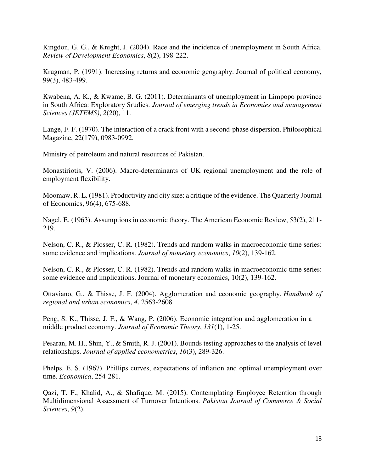Kingdon, G. G., & Knight, J. (2004). Race and the incidence of unemployment in South Africa. *Review of Development Economics*, *8*(2), 198-222.

Krugman, P. (1991). Increasing returns and economic geography. Journal of political economy, 99(3), 483-499.

Kwabena, A. K., & Kwame, B. G. (2011). Determinants of unemployment in Limpopo province in South Africa: Exploratory Srudies. *Journal of emerging trends in Economies and management Sciences (JETEMS)*, *2*(20), 11.

Lange, F. F. (1970). The interaction of a crack front with a second-phase dispersion. Philosophical Magazine, 22(179), 0983-0992.

Ministry of petroleum and natural resources of Pakistan.

Monastiriotis, V. (2006). Macro-determinants of UK regional unemployment and the role of employment flexibility.

Moomaw, R. L. (1981). Productivity and city size: a critique of the evidence. The Quarterly Journal of Economics, 96(4), 675-688.

Nagel, E. (1963). Assumptions in economic theory. The American Economic Review, 53(2), 211- 219.

Nelson, C. R., & Plosser, C. R. (1982). Trends and random walks in macroeconomic time series: some evidence and implications. *Journal of monetary economics*, *10*(2), 139-162.

Nelson, C. R., & Plosser, C. R. (1982). Trends and random walks in macroeconomic time series: some evidence and implications. Journal of monetary economics, 10(2), 139-162.

Ottaviano, G., & Thisse, J. F. (2004). Agglomeration and economic geography. *Handbook of regional and urban economics*, *4*, 2563-2608.

Peng, S. K., Thisse, J. F., & Wang, P. (2006). Economic integration and agglomeration in a middle product economy. *Journal of Economic Theory*, *131*(1), 1-25.

Pesaran, M. H., Shin, Y., & Smith, R. J. (2001). Bounds testing approaches to the analysis of level relationships. *Journal of applied econometrics*, *16*(3), 289-326.

Phelps, E. S. (1967). Phillips curves, expectations of inflation and optimal unemployment over time. *Economica*, 254-281.

Qazi, T. F., Khalid, A., & Shafique, M. (2015). Contemplating Employee Retention through Multidimensional Assessment of Turnover Intentions. *Pakistan Journal of Commerce & Social Sciences*, *9*(2).